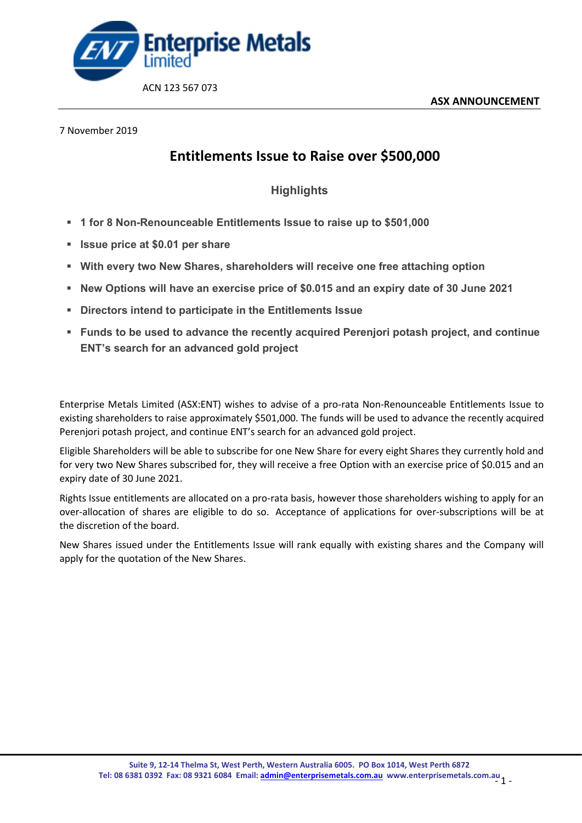

## 7 November 2019

## **Entitlements Issue to Raise over \$500,000**

## **Highlights**

- **1 for 8 Non-Renounceable Entitlements Issue to raise up to \$501,000**
- **Issue price at \$0.01 per share**
- **With every two New Shares, shareholders will receive one free attaching option**
- **New Options will have an exercise price of \$0.015 and an expiry date of 30 June 2021**
- **Directors intend to participate in the Entitlements Issue**
- **Funds to be used to advance the recently acquired Perenjori potash project, and continue ENT's search for an advanced gold project**

Enterprise Metals Limited (ASX:ENT) wishes to advise of a pro-rata Non-Renounceable Entitlements Issue to existing shareholders to raise approximately \$501,000. The funds will be used to advance the recently acquired Perenjori potash project, and continue ENT's search for an advanced gold project.

Eligible Shareholders will be able to subscribe for one New Share for every eight Shares they currently hold and for very two New Shares subscribed for, they will receive a free Option with an exercise price of \$0.015 and an expiry date of 30 June 2021.

Rights Issue entitlements are allocated on a pro-rata basis, however those shareholders wishing to apply for an over-allocation of shares are eligible to do so. Acceptance of applications for over-subscriptions will be at the discretion of the board.

New Shares issued under the Entitlements Issue will rank equally with existing shares and the Company will apply for the quotation of the New Shares.